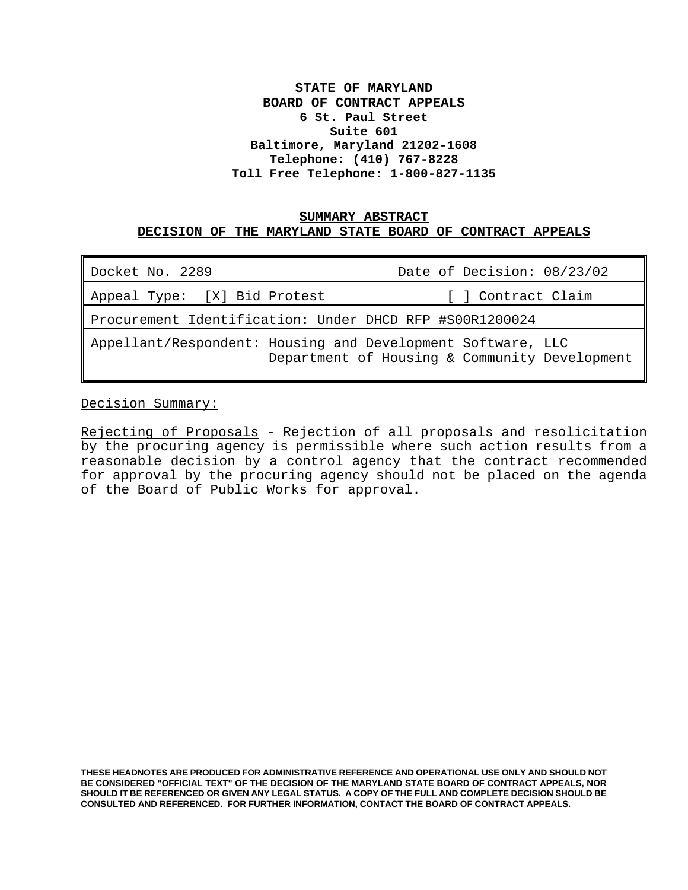# **STATE OF MARYLAND BOARD OF CONTRACT APPEALS 6 St. Paul Street Suite 601 Baltimore, Maryland 21202-1608 Telephone: (410) 767-8228 Toll Free Telephone: 1-800-827-1135**

## **SUMMARY ABSTRACT DECISION OF THE MARYLAND STATE BOARD OF CONTRACT APPEALS**

| Docket No. 2289                                                                                              | Date of Decision: 08/23/02 |
|--------------------------------------------------------------------------------------------------------------|----------------------------|
| Appeal Type: [X] Bid Protest                                                                                 | [ ] Contract Claim         |
| Procurement Identification: Under DHCD RFP #S00R1200024                                                      |                            |
| Appellant/Respondent: Housing and Development Software, LLC<br>Department of Housing & Community Development |                            |

Decision Summary:

Rejecting of Proposals - Rejection of all proposals and resolicitation by the procuring agency is permissible where such action results from a reasonable decision by a control agency that the contract recommended for approval by the procuring agency should not be placed on the agenda of the Board of Public Works for approval.

**THESE HEADNOTES ARE PRODUCED FOR ADMINISTRATIVE REFERENCE AND OPERATIONAL USE ONLY AND SHOULD NOT BE CONSIDERED "OFFICIAL TEXT" OF THE DECISION OF THE MARYLAND STATE BOARD OF CONTRACT APPEALS, NOR SHOULD IT BE REFERENCED OR GIVEN ANY LEGAL STATUS. A COPY OF THE FULL AND COMPLETE DECISION SHOULD BE CONSULTED AND REFERENCED. FOR FURTHER INFORMATION, CONTACT THE BOARD OF CONTRACT APPEALS.**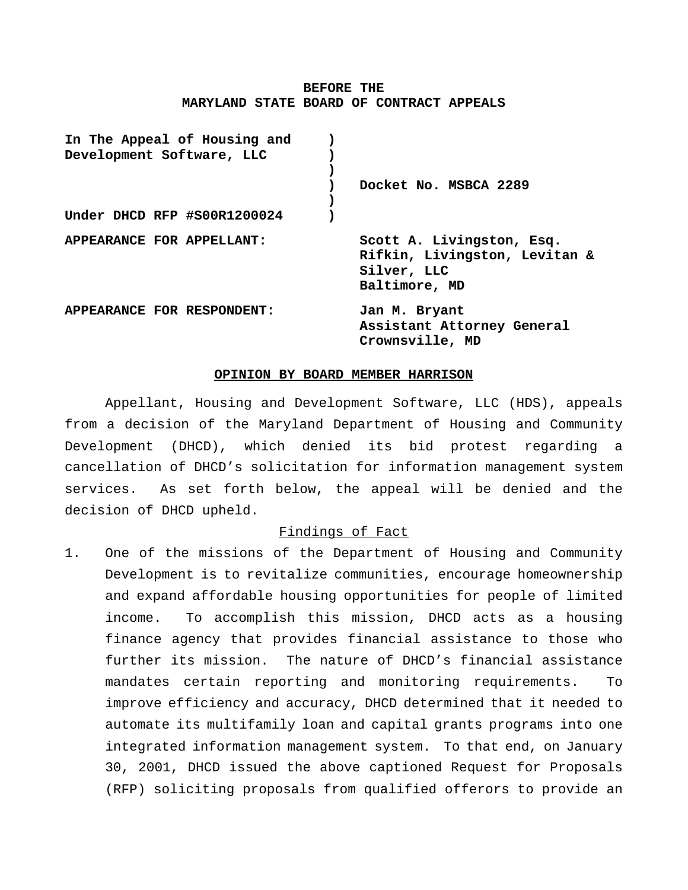### **BEFORE THE MARYLAND STATE BOARD OF CONTRACT APPEALS**

| In The Appeal of Housing and<br>Development Software, LLC |                                                                                            |
|-----------------------------------------------------------|--------------------------------------------------------------------------------------------|
|                                                           | Docket No. MSBCA 2289                                                                      |
| Under DHCD RFP #S00R1200024                               |                                                                                            |
| APPEARANCE FOR APPELLANT:                                 | Scott A. Livingston, Esq.<br>Rifkin, Livingston, Levitan &<br>Silver, LLC<br>Baltimore, MD |
| APPEARANCE FOR RESPONDENT:                                | Jan M. Bryant<br>Assistant Attorney General<br>Crownsville, MD                             |

#### **OPINION BY BOARD MEMBER HARRISON**

Appellant, Housing and Development Software, LLC (HDS), appeals from a decision of the Maryland Department of Housing and Community Development (DHCD), which denied its bid protest regarding a cancellation of DHCD's solicitation for information management system services. As set forth below, the appeal will be denied and the decision of DHCD upheld.

# Findings of Fact

1. One of the missions of the Department of Housing and Community Development is to revitalize communities, encourage homeownership and expand affordable housing opportunities for people of limited income. To accomplish this mission, DHCD acts as a housing finance agency that provides financial assistance to those who further its mission. The nature of DHCD's financial assistance mandates certain reporting and monitoring requirements. To improve efficiency and accuracy, DHCD determined that it needed to automate its multifamily loan and capital grants programs into one integrated information management system. To that end, on January 30, 2001, DHCD issued the above captioned Request for Proposals (RFP) soliciting proposals from qualified offerors to provide an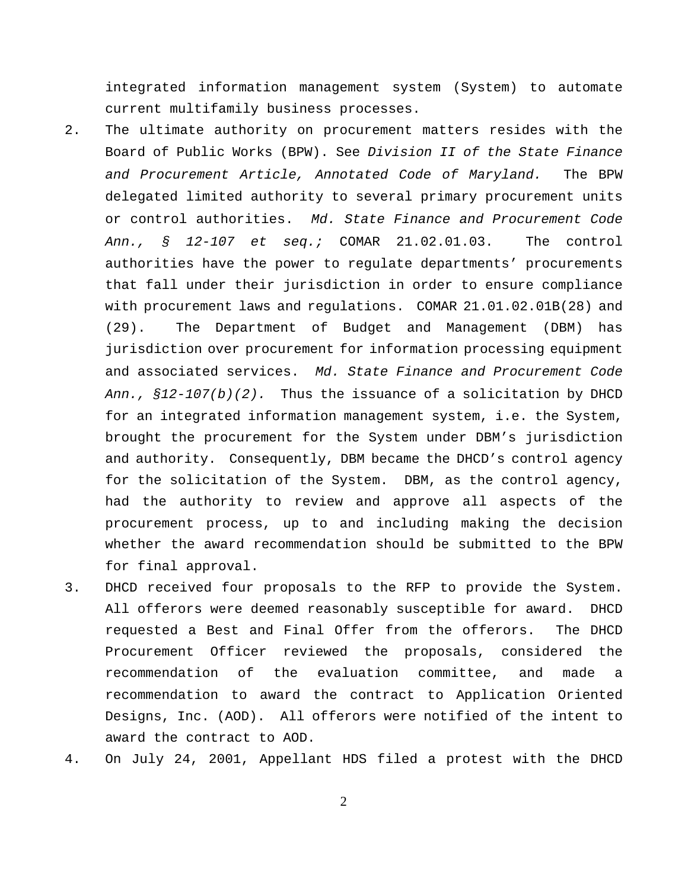integrated information management system (System) to automate current multifamily business processes.

- 2. The ultimate authority on procurement matters resides with the Board of Public Works (BPW). See *Division II of the State Finance and Procurement Article, Annotated Code of Maryland.* The BPW delegated limited authority to several primary procurement units or control authorities. *Md. State Finance and Procurement Code Ann., § 12-107 et seq.;* COMAR 21.02.01.03. The control authorities have the power to regulate departments' procurements that fall under their jurisdiction in order to ensure compliance with procurement laws and regulations. COMAR 21.01.02.01B(28) and (29). The Department of Budget and Management (DBM) has jurisdiction over procurement for information processing equipment and associated services. *Md. State Finance and Procurement Code Ann., §12-107(b)(2).* Thus the issuance of a solicitation by DHCD for an integrated information management system, i.e. the System, brought the procurement for the System under DBM's jurisdiction and authority. Consequently, DBM became the DHCD's control agency for the solicitation of the System. DBM, as the control agency, had the authority to review and approve all aspects of the procurement process, up to and including making the decision whether the award recommendation should be submitted to the BPW for final approval.
- 3. DHCD received four proposals to the RFP to provide the System. All offerors were deemed reasonably susceptible for award. DHCD requested a Best and Final Offer from the offerors. The DHCD Procurement Officer reviewed the proposals, considered the recommendation of the evaluation committee, and made a recommendation to award the contract to Application Oriented Designs, Inc. (AOD). All offerors were notified of the intent to award the contract to AOD.
- 4. On July 24, 2001, Appellant HDS filed a protest with the DHCD

2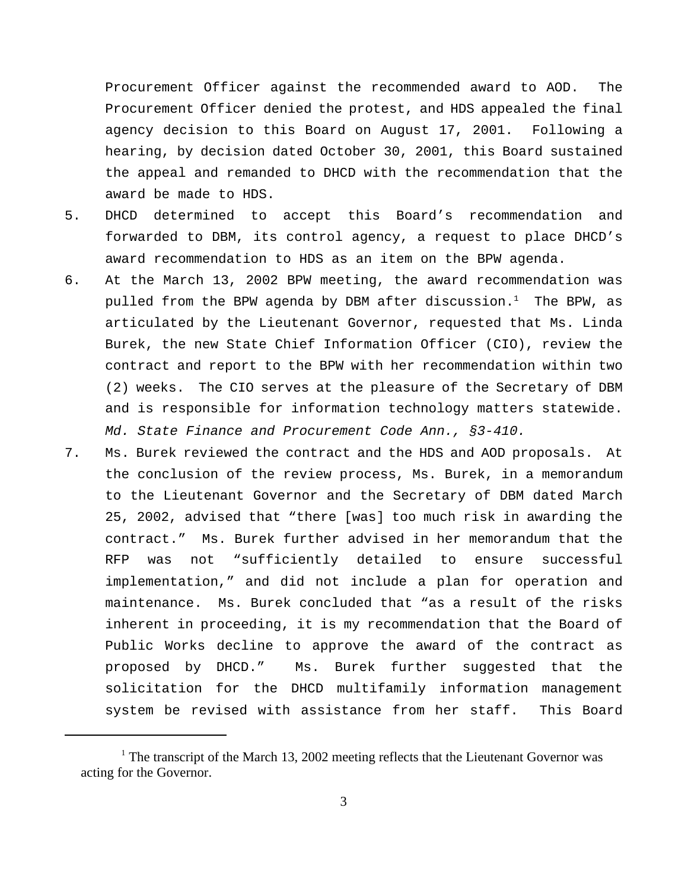Procurement Officer against the recommended award to AOD. The Procurement Officer denied the protest, and HDS appealed the final agency decision to this Board on August 17, 2001. Following a hearing, by decision dated October 30, 2001, this Board sustained the appeal and remanded to DHCD with the recommendation that the award be made to HDS.

- 5. DHCD determined to accept this Board's recommendation and forwarded to DBM, its control agency, a request to place DHCD's award recommendation to HDS as an item on the BPW agenda.
- 6. At the March 13, 2002 BPW meeting, the award recommendation was pulled from the BPW agenda by DBM after discussion.<sup>1</sup> The BPW, as articulated by the Lieutenant Governor, requested that Ms. Linda Burek, the new State Chief Information Officer (CIO), review the contract and report to the BPW with her recommendation within two (2) weeks. The CIO serves at the pleasure of the Secretary of DBM and is responsible for information technology matters statewide. *Md. State Finance and Procurement Code Ann., §3-410.*
- 7. Ms. Burek reviewed the contract and the HDS and AOD proposals. At the conclusion of the review process, Ms. Burek, in a memorandum to the Lieutenant Governor and the Secretary of DBM dated March 25, 2002, advised that "there [was] too much risk in awarding the contract." Ms. Burek further advised in her memorandum that the RFP was not "sufficiently detailed to ensure successful implementation," and did not include a plan for operation and maintenance. Ms. Burek concluded that "as a result of the risks inherent in proceeding, it is my recommendation that the Board of Public Works decline to approve the award of the contract as proposed by DHCD." Ms. Burek further suggested that the solicitation for the DHCD multifamily information management system be revised with assistance from her staff. This Board

<sup>&</sup>lt;sup>1</sup> The transcript of the March 13, 2002 meeting reflects that the Lieutenant Governor was acting for the Governor.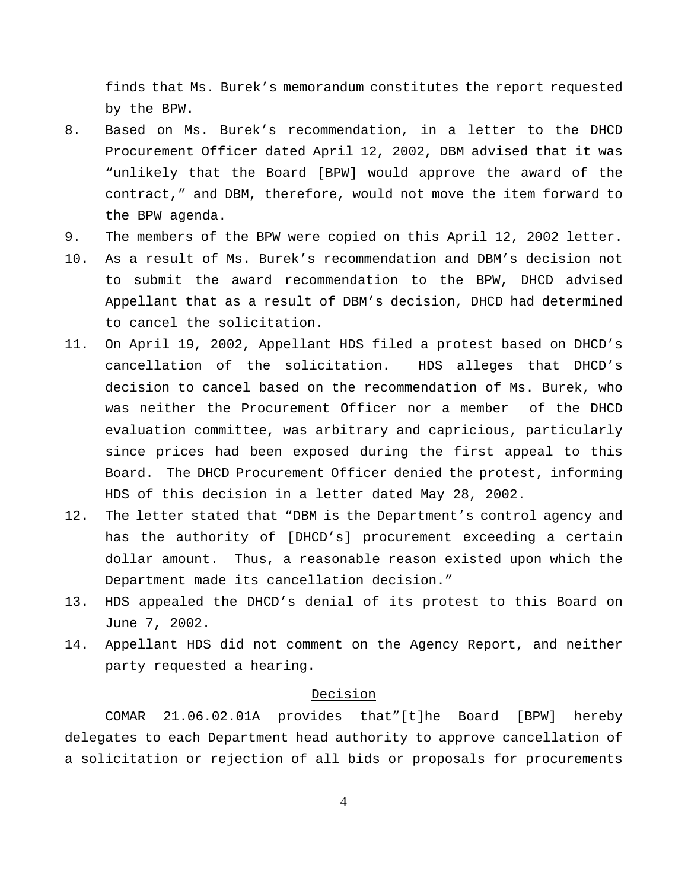finds that Ms. Burek's memorandum constitutes the report requested by the BPW.

- 8. Based on Ms. Burek's recommendation, in a letter to the DHCD Procurement Officer dated April 12, 2002, DBM advised that it was "unlikely that the Board [BPW] would approve the award of the contract," and DBM, therefore, would not move the item forward to the BPW agenda.
- 9. The members of the BPW were copied on this April 12, 2002 letter.
- 10. As a result of Ms. Burek's recommendation and DBM's decision not to submit the award recommendation to the BPW, DHCD advised Appellant that as a result of DBM's decision, DHCD had determined to cancel the solicitation.
- 11. On April 19, 2002, Appellant HDS filed a protest based on DHCD's cancellation of the solicitation. HDS alleges that DHCD's decision to cancel based on the recommendation of Ms. Burek, who was neither the Procurement Officer nor a member of the DHCD evaluation committee, was arbitrary and capricious, particularly since prices had been exposed during the first appeal to this Board. The DHCD Procurement Officer denied the protest, informing HDS of this decision in a letter dated May 28, 2002.
- 12. The letter stated that "DBM is the Department's control agency and has the authority of [DHCD's] procurement exceeding a certain dollar amount. Thus, a reasonable reason existed upon which the Department made its cancellation decision."
- 13. HDS appealed the DHCD's denial of its protest to this Board on June 7, 2002.
- 14. Appellant HDS did not comment on the Agency Report, and neither party requested a hearing.

## Decision

COMAR 21.06.02.01A provides that"[t]he Board [BPW] hereby delegates to each Department head authority to approve cancellation of a solicitation or rejection of all bids or proposals for procurements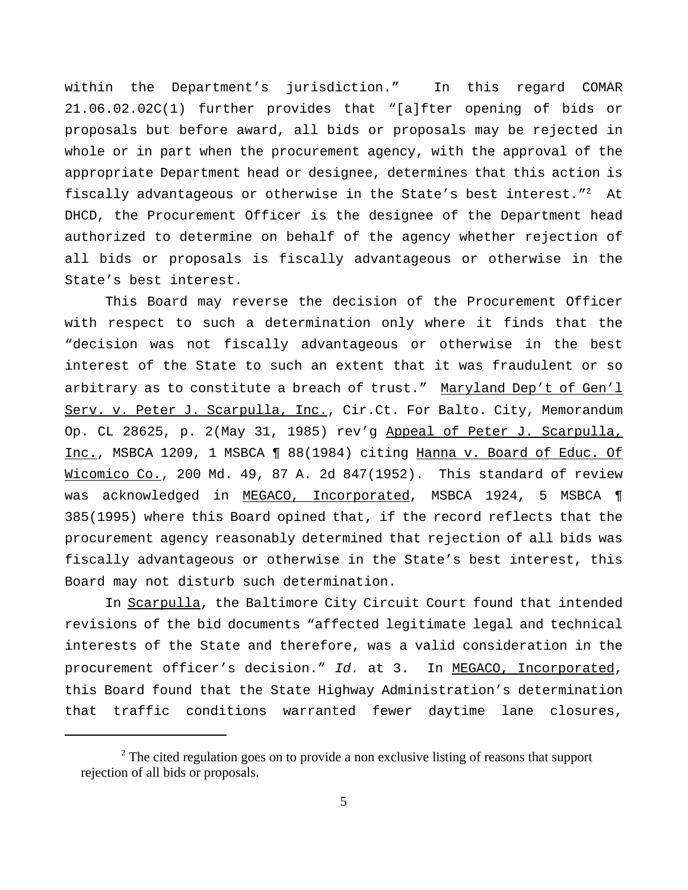within the Department's jurisdiction." In this regard COMAR 21.06.02.02C(1) further provides that "[a]fter opening of bids or proposals but before award, all bids or proposals may be rejected in whole or in part when the procurement agency, with the approval of the appropriate Department head or designee, determines that this action is fiscally advantageous or otherwise in the State's best interest."<sup>2</sup> At DHCD, the Procurement Officer is the designee of the Department head authorized to determine on behalf of the agency whether rejection of all bids or proposals is fiscally advantageous or otherwise in the State's best interest.

This Board may reverse the decision of the Procurement Officer with respect to such a determination only where it finds that the "decision was not fiscally advantageous or otherwise in the best interest of the State to such an extent that it was fraudulent or so arbitrary as to constitute a breach of trust."Maryland Dep't of Gen'l Serv. v. Peter J. Scarpulla, Inc., Cir.Ct. For Balto. City, Memorandum Op. CL 28625, p. 2(May 31, 1985) rev'g Appeal of Peter J. Scarpulla, Inc., MSBCA 1209, 1 MSBCA ¶ 88(1984) citing Hanna v. Board of Educ. Of Wicomico Co., 200 Md. 49, 87 A. 2d 847(1952). This standard of review was acknowledged in MEGACO, Incorporated, MSBCA 1924, 5 MSBCA ¶ 385(1995) where this Board opined that, if the record reflects that the procurement agency reasonably determined that rejection of all bids was fiscally advantageous or otherwise in the State's best interest, this Board may not disturb such determination.

In Scarpulla, the Baltimore City Circuit Court found that intended revisions of the bid documents "affected legitimate legal and technical interests of the State and therefore, was a valid consideration in the procurement officer's decision." *Id.* at 3. In MEGACO, Incorporated, this Board found that the State Highway Administration's determination that traffic conditions warranted fewer daytime lane closures,

 $2<sup>2</sup>$  The cited regulation goes on to provide a non exclusive listing of reasons that support rejection of all bids or proposals.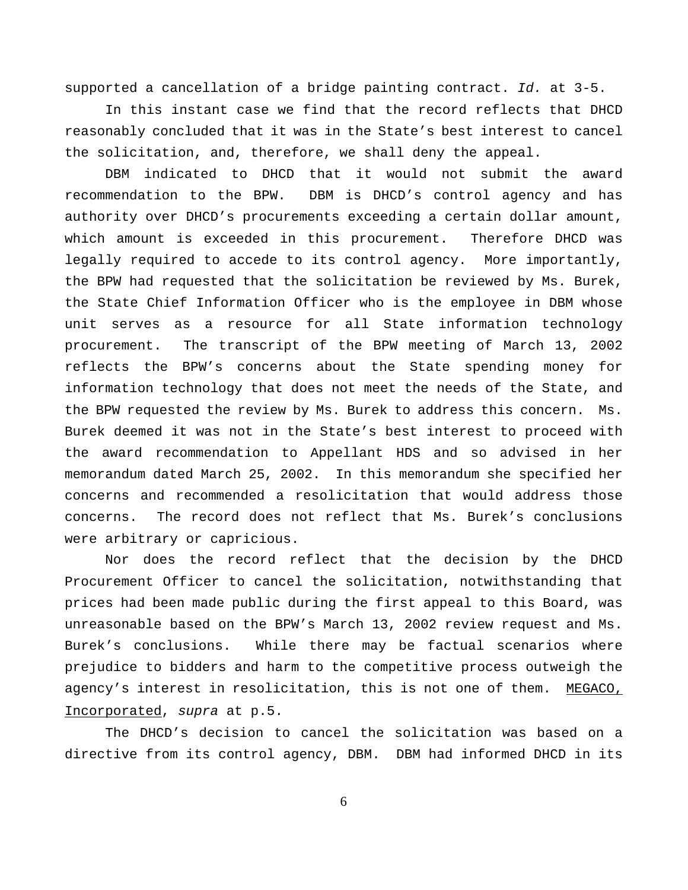supported a cancellation of a bridge painting contract. *Id.* at 3-5.

In this instant case we find that the record reflects that DHCD reasonably concluded that it was in the State's best interest to cancel the solicitation, and, therefore, we shall deny the appeal.

DBM indicated to DHCD that it would not submit the award recommendation to the BPW. DBM is DHCD's control agency and has authority over DHCD's procurements exceeding a certain dollar amount, which amount is exceeded in this procurement. Therefore DHCD was legally required to accede to its control agency. More importantly, the BPW had requested that the solicitation be reviewed by Ms. Burek, the State Chief Information Officer who is the employee in DBM whose unit serves as a resource for all State information technology procurement. The transcript of the BPW meeting of March 13, 2002 reflects the BPW's concerns about the State spending money for information technology that does not meet the needs of the State, and the BPW requested the review by Ms. Burek to address this concern. Ms. Burek deemed it was not in the State's best interest to proceed with the award recommendation to Appellant HDS and so advised in her memorandum dated March 25, 2002. In this memorandum she specified her concerns and recommended a resolicitation that would address those concerns. The record does not reflect that Ms. Burek's conclusions were arbitrary or capricious.

Nor does the record reflect that the decision by the DHCD Procurement Officer to cancel the solicitation, notwithstanding that prices had been made public during the first appeal to this Board, was unreasonable based on the BPW's March 13, 2002 review request and Ms. Burek's conclusions. While there may be factual scenarios where prejudice to bidders and harm to the competitive process outweigh the agency's interest in resolicitation, this is not one of them. MEGACO, Incorporated, *supra* at p.5.

The DHCD's decision to cancel the solicitation was based on a directive from its control agency, DBM. DBM had informed DHCD in its

6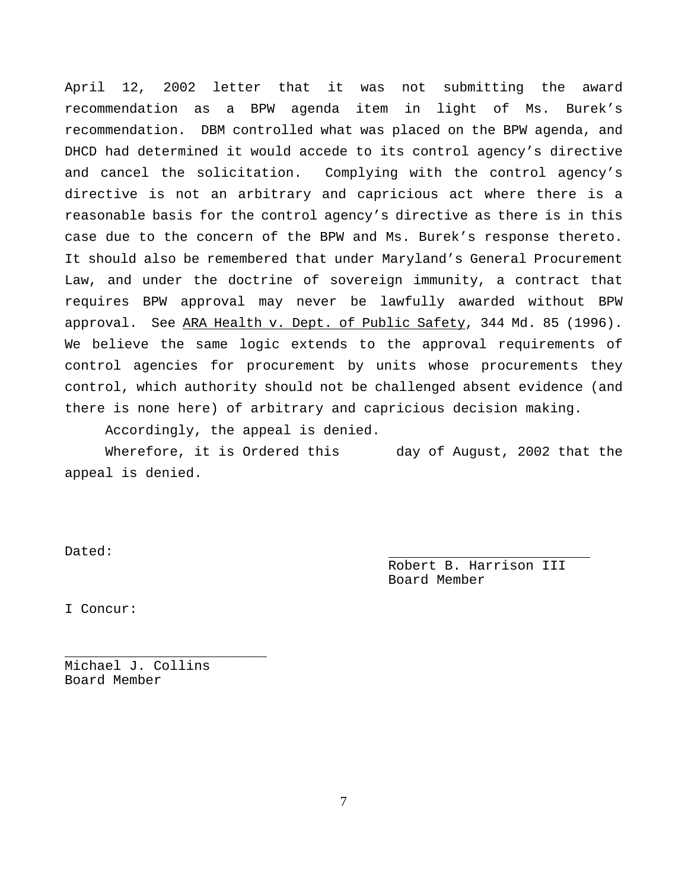April 12, 2002 letter that it was not submitting the award recommendation as a BPW agenda item in light of Ms. Burek's recommendation. DBM controlled what was placed on the BPW agenda, and DHCD had determined it would accede to its control agency's directive and cancel the solicitation. Complying with the control agency's directive is not an arbitrary and capricious act where there is a reasonable basis for the control agency's directive as there is in this case due to the concern of the BPW and Ms. Burek's response thereto. It should also be remembered that under Maryland's General Procurement Law, and under the doctrine of sovereign immunity, a contract that requires BPW approval may never be lawfully awarded without BPW approval. See ARA Health v. Dept. of Public Safety, 344 Md. 85 (1996). We believe the same logic extends to the approval requirements of control agencies for procurement by units whose procurements they control, which authority should not be challenged absent evidence (and there is none here) of arbitrary and capricious decision making.

Accordingly, the appeal is denied.

Wherefore, it is Ordered this day of August, 2002 that the appeal is denied.

Dated:

Robert B. Harrison III Board Member

I Concur:

Michael J. Collins Board Member

\_\_\_\_\_\_\_\_\_\_\_\_\_\_\_\_\_\_\_\_\_\_\_\_\_